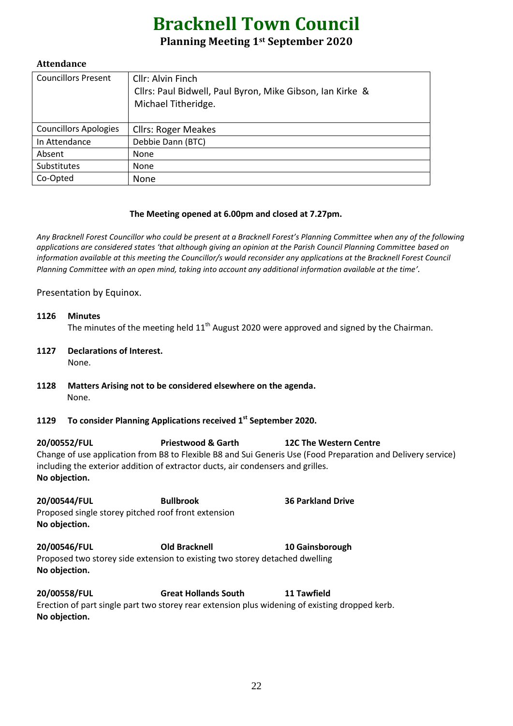# **Bracknell Town Council**

## **Planning Meeting 1st September 2020**

#### **Attendance**

| <b>Councillors Present</b>   | Cllr: Alvin Finch<br>Cllrs: Paul Bidwell, Paul Byron, Mike Gibson, Ian Kirke &<br>Michael Titheridge. |
|------------------------------|-------------------------------------------------------------------------------------------------------|
| <b>Councillors Apologies</b> | <b>Cllrs: Roger Meakes</b>                                                                            |
| In Attendance                | Debbie Dann (BTC)                                                                                     |
| Absent                       | None                                                                                                  |
| Substitutes                  | None                                                                                                  |
| Co-Opted                     | None                                                                                                  |

#### **The Meeting opened at 6.00pm and closed at 7.27pm.**

*Any Bracknell Forest Councillor who could be present at a Bracknell Forest's Planning Committee when any of the following applications are considered states 'that although giving an opinion at the Parish Council Planning Committee based on information available at this meeting the Councillor/s would reconsider any applications at the Bracknell Forest Council Planning Committee with an open mind, taking into account any additional information available at the time'.*

Presentation by Equinox.

- **1126 Minutes** The minutes of the meeting held  $11<sup>th</sup>$  August 2020 were approved and signed by the Chairman.
- **1127 Declarations of Interest.**  None.
- **1128 Matters Arising not to be considered elsewhere on the agenda.** None.
- **1129 To consider Planning Applications received 1 st September 2020.**

**20/00552/FUL Priestwood & Garth 12C The Western Centre** Change of use application from B8 to Flexible B8 and Sui Generis Use (Food Preparation and Delivery service) including the exterior addition of extractor ducts, air condensers and grilles. **No objection.**

**20/00544/FUL Bullbrook 36 Parkland Drive** Proposed single storey pitched roof front extension **No objection.**

**20/00546/FUL Old Bracknell 10 Gainsborough** Proposed two storey side extension to existing two storey detached dwelling **No objection.**

**20/00558/FUL Great Hollands South 11 Tawfield** Erection of part single part two storey rear extension plus widening of existing dropped kerb. **No objection.**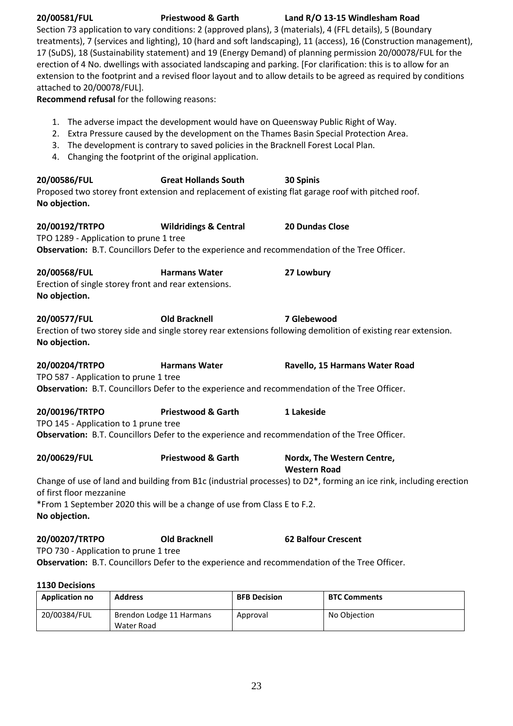| 20/00581/FUL<br><b>Priestwood &amp; Garth</b><br>Land R/O 13-15 Windlesham Road<br>Section 73 application to vary conditions: 2 (approved plans), 3 (materials), 4 (FFL details), 5 (Boundary<br>treatments), 7 (services and lighting), 10 (hard and soft landscaping), 11 (access), 16 (Construction management),<br>17 (SuDS), 18 (Sustainability statement) and 19 (Energy Demand) of planning permission 20/00078/FUL for the<br>erection of 4 No. dwellings with associated landscaping and parking. [For clarification: this is to allow for an<br>extension to the footprint and a revised floor layout and to allow details to be agreed as required by conditions<br>attached to 20/00078/FUL].<br>Recommend refusal for the following reasons: |                                                                                                                                                                                                                                |                                                                                                                               |  |  |  |
|-----------------------------------------------------------------------------------------------------------------------------------------------------------------------------------------------------------------------------------------------------------------------------------------------------------------------------------------------------------------------------------------------------------------------------------------------------------------------------------------------------------------------------------------------------------------------------------------------------------------------------------------------------------------------------------------------------------------------------------------------------------|--------------------------------------------------------------------------------------------------------------------------------------------------------------------------------------------------------------------------------|-------------------------------------------------------------------------------------------------------------------------------|--|--|--|
| 2.<br>3.<br>4.                                                                                                                                                                                                                                                                                                                                                                                                                                                                                                                                                                                                                                                                                                                                            | 1. The adverse impact the development would have on Queensway Public Right of Way.<br>The development is contrary to saved policies in the Bracknell Forest Local Plan.<br>Changing the footprint of the original application. | Extra Pressure caused by the development on the Thames Basin Special Protection Area.                                         |  |  |  |
| 20/00586/FUL<br>No objection.                                                                                                                                                                                                                                                                                                                                                                                                                                                                                                                                                                                                                                                                                                                             | <b>Great Hollands South</b>                                                                                                                                                                                                    | 30 Spinis<br>Proposed two storey front extension and replacement of existing flat garage roof with pitched roof.              |  |  |  |
| 20/00192/TRTPO<br>TPO 1289 - Application to prune 1 tree                                                                                                                                                                                                                                                                                                                                                                                                                                                                                                                                                                                                                                                                                                  | <b>Wildridings &amp; Central</b><br>Observation: B.T. Councillors Defer to the experience and recommendation of the Tree Officer.                                                                                              | 20 Dundas Close                                                                                                               |  |  |  |
| 20/00568/FUL<br>Erection of single storey front and rear extensions.<br>No objection.                                                                                                                                                                                                                                                                                                                                                                                                                                                                                                                                                                                                                                                                     | <b>Harmans Water</b>                                                                                                                                                                                                           | 27 Lowbury                                                                                                                    |  |  |  |
| 20/00577/FUL<br>No objection.                                                                                                                                                                                                                                                                                                                                                                                                                                                                                                                                                                                                                                                                                                                             | <b>Old Bracknell</b>                                                                                                                                                                                                           | 7 Glebewood<br>Erection of two storey side and single storey rear extensions following demolition of existing rear extension. |  |  |  |
| 20/00204/TRTPO<br>TPO 587 - Application to prune 1 tree                                                                                                                                                                                                                                                                                                                                                                                                                                                                                                                                                                                                                                                                                                   | <b>Harmans Water</b><br>Observation: B.T. Councillors Defer to the experience and recommendation of the Tree Officer.                                                                                                          | Ravello, 15 Harmans Water Road                                                                                                |  |  |  |
| 20/00196/TRTPO<br>TPO 145 - Application to 1 prune tree                                                                                                                                                                                                                                                                                                                                                                                                                                                                                                                                                                                                                                                                                                   | <b>Priestwood &amp; Garth</b><br>Observation: B.T. Councillors Defer to the experience and recommendation of the Tree Officer.                                                                                                 | 1 Lakeside                                                                                                                    |  |  |  |
| 20/00629/FUL                                                                                                                                                                                                                                                                                                                                                                                                                                                                                                                                                                                                                                                                                                                                              | <b>Priestwood &amp; Garth</b>                                                                                                                                                                                                  | Nordx, The Western Centre,<br><b>Western Road</b>                                                                             |  |  |  |
| of first floor mezzanine<br>No objection.                                                                                                                                                                                                                                                                                                                                                                                                                                                                                                                                                                                                                                                                                                                 | *From 1 September 2020 this will be a change of use from Class E to F.2.                                                                                                                                                       | Change of use of land and building from B1c (industrial processes) to D2*, forming an ice rink, including erection            |  |  |  |
| 20/00207/TRTPO<br>TPO 730 - Application to prune 1 tree                                                                                                                                                                                                                                                                                                                                                                                                                                                                                                                                                                                                                                                                                                   | <b>Old Bracknell</b><br>Observation: B.T. Councillors Defer to the experience and recommendation of the Tree Officer.                                                                                                          | <b>62 Balfour Crescent</b>                                                                                                    |  |  |  |

### **1130 Decisions**

| <b>Application no</b> | <b>Address</b>           | <b>BFB Decision</b> | <b>BTC Comments</b> |
|-----------------------|--------------------------|---------------------|---------------------|
| 20/00384/FUL          | Brendon Lodge 11 Harmans | Approval            | No Objection        |
|                       | Water Road               |                     |                     |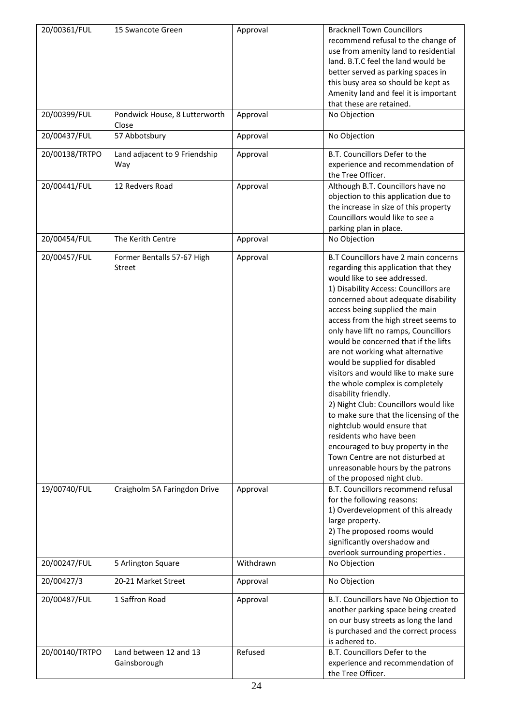| 20/00361/FUL   | 15 Swancote Green                      | Approval  | <b>Bracknell Town Councillors</b>                                 |
|----------------|----------------------------------------|-----------|-------------------------------------------------------------------|
|                |                                        |           | recommend refusal to the change of                                |
|                |                                        |           | use from amenity land to residential                              |
|                |                                        |           | land. B.T.C feel the land would be                                |
|                |                                        |           | better served as parking spaces in                                |
|                |                                        |           | this busy area so should be kept as                               |
|                |                                        |           | Amenity land and feel it is important                             |
|                |                                        |           | that these are retained.                                          |
| 20/00399/FUL   | Pondwick House, 8 Lutterworth<br>Close | Approval  | No Objection                                                      |
| 20/00437/FUL   | 57 Abbotsbury                          | Approval  | No Objection                                                      |
| 20/00138/TRTPO | Land adjacent to 9 Friendship          | Approval  | B.T. Councillors Defer to the                                     |
|                | Way                                    |           | experience and recommendation of                                  |
|                |                                        |           | the Tree Officer.                                                 |
| 20/00441/FUL   | 12 Redvers Road                        | Approval  | Although B.T. Councillors have no                                 |
|                |                                        |           | objection to this application due to                              |
|                |                                        |           | the increase in size of this property                             |
|                |                                        |           | Councillors would like to see a                                   |
|                |                                        |           | parking plan in place.                                            |
| 20/00454/FUL   | The Kerith Centre                      | Approval  | No Objection                                                      |
| 20/00457/FUL   | Former Bentalls 57-67 High             | Approval  | B.T Councillors have 2 main concerns                              |
|                | Street                                 |           | regarding this application that they                              |
|                |                                        |           | would like to see addressed.                                      |
|                |                                        |           | 1) Disability Access: Councillors are                             |
|                |                                        |           | concerned about adequate disability                               |
|                |                                        |           | access being supplied the main                                    |
|                |                                        |           | access from the high street seems to                              |
|                |                                        |           | only have lift no ramps, Councillors                              |
|                |                                        |           | would be concerned that if the lifts                              |
|                |                                        |           | are not working what alternative                                  |
|                |                                        |           | would be supplied for disabled                                    |
|                |                                        |           | visitors and would like to make sure                              |
|                |                                        |           | the whole complex is completely                                   |
|                |                                        |           | disability friendly.                                              |
|                |                                        |           | 2) Night Club: Councillors would like                             |
|                |                                        |           |                                                                   |
|                |                                        |           | to make sure that the licensing of the                            |
|                |                                        |           | nightclub would ensure that<br>residents who have been            |
|                |                                        |           |                                                                   |
|                |                                        |           | encouraged to buy property in the                                 |
|                |                                        |           | Town Centre are not disturbed at                                  |
|                |                                        |           | unreasonable hours by the patrons                                 |
| 19/00740/FUL   | Craigholm 5A Faringdon Drive           | Approval  | of the proposed night club.<br>B.T. Councillors recommend refusal |
|                |                                        |           | for the following reasons:                                        |
|                |                                        |           |                                                                   |
|                |                                        |           | 1) Overdevelopment of this already                                |
|                |                                        |           | large property.                                                   |
|                |                                        |           | 2) The proposed rooms would                                       |
|                |                                        |           | significantly overshadow and                                      |
|                |                                        |           | overlook surrounding properties.                                  |
| 20/00247/FUL   | 5 Arlington Square                     | Withdrawn | No Objection                                                      |
| 20/00427/3     | 20-21 Market Street                    | Approval  | No Objection                                                      |
| 20/00487/FUL   | 1 Saffron Road                         | Approval  | B.T. Councillors have No Objection to                             |
|                |                                        |           | another parking space being created                               |
|                |                                        |           | on our busy streets as long the land                              |
|                |                                        |           | is purchased and the correct process                              |
|                |                                        |           | is adhered to.                                                    |
| 20/00140/TRTPO | Land between 12 and 13                 | Refused   | B.T. Councillors Defer to the                                     |
|                | Gainsborough                           |           | experience and recommendation of                                  |
|                |                                        |           | the Tree Officer.                                                 |